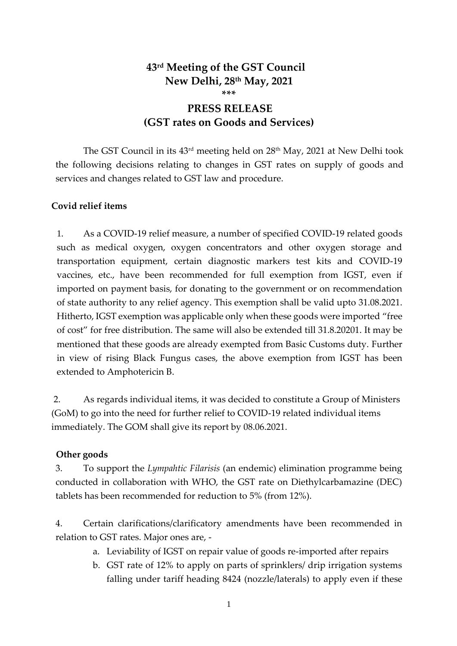# **43rd Meeting of the GST Council New Delhi, 28th May, 2021 \*\*\***

# **PRESS RELEASE (GST rates on Goods and Services)**

The GST Council in its  $43<sup>rd</sup>$  meeting held on  $28<sup>th</sup>$  May, 2021 at New Delhi took the following decisions relating to changes in GST rates on supply of goods and services and changes related to GST law and procedure.

### **Covid relief items**

1. As a COVID-19 relief measure, a number of specified COVID-19 related goods such as medical oxygen, oxygen concentrators and other oxygen storage and transportation equipment, certain diagnostic markers test kits and COVID-19 vaccines, etc., have been recommended for full exemption from IGST, even if imported on payment basis, for donating to the government or on recommendation of state authority to any relief agency. This exemption shall be valid upto 31.08.2021. Hitherto, IGST exemption was applicable only when these goods were imported "free of cost" for free distribution. The same will also be extended till 31.8.20201. It may be mentioned that these goods are already exempted from Basic Customs duty. Further in view of rising Black Fungus cases, the above exemption from IGST has been extended to Amphotericin B.

2. As regards individual items, it was decided to constitute a Group of Ministers (GoM) to go into the need for further relief to COVID-19 related individual items immediately. The GOM shall give its report by 08.06.2021.

#### **Other goods**

3. To support the *Lympahtic Filarisis* (an endemic) elimination programme being conducted in collaboration with WHO, the GST rate on Diethylcarbamazine (DEC) tablets has been recommended for reduction to 5% (from 12%).

4. Certain clarifications/clarificatory amendments have been recommended in relation to GST rates. Major ones are, -

- a. Leviability of IGST on repair value of goods re-imported after repairs
- b. GST rate of 12% to apply on parts of sprinklers/ drip irrigation systems falling under tariff heading 8424 (nozzle/laterals) to apply even if these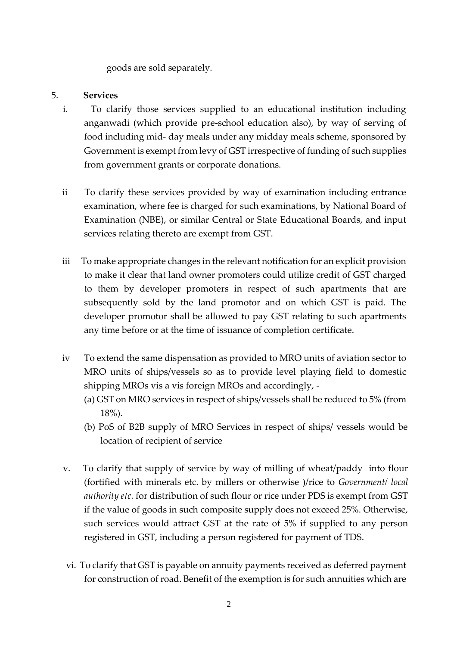goods are sold separately.

### 5. **Services**

- i. To clarify those services supplied to an educational institution including anganwadi (which provide pre-school education also), by way of serving of food including mid- day meals under any midday meals scheme, sponsored by Government is exempt from levy of GST irrespective of funding of such supplies from government grants or corporate donations.
- ii To clarify these services provided by way of examination including entrance examination, where fee is charged for such examinations, by National Board of Examination (NBE), or similar Central or State Educational Boards, and input services relating thereto are exempt from GST.
- iii To make appropriate changes in the relevant notification for an explicit provision to make it clear that land owner promoters could utilize credit of GST charged to them by developer promoters in respect of such apartments that are subsequently sold by the land promotor and on which GST is paid. The developer promotor shall be allowed to pay GST relating to such apartments any time before or at the time of issuance of completion certificate.
- iv To extend the same dispensation as provided to MRO units of aviation sector to MRO units of ships/vessels so as to provide level playing field to domestic shipping MROs vis a vis foreign MROs and accordingly, -
	- (a) GST on MRO services in respect of ships/vessels shall be reduced to 5% (from 18%).
	- (b) PoS of B2B supply of MRO Services in respect of ships/ vessels would be location of recipient of service
- v. To clarify that supply of service by way of milling of wheat/paddy into flour (fortified with minerals etc. by millers or otherwise )/rice to *Government/ local authority etc.* for distribution of such flour or rice under PDS is exempt from GST if the value of goods in such composite supply does not exceed 25%. Otherwise, such services would attract GST at the rate of 5% if supplied to any person registered in GST, including a person registered for payment of TDS.
- vi. To clarify that GST is payable on annuity payments received as deferred payment for construction of road. Benefit of the exemption is for such annuities which are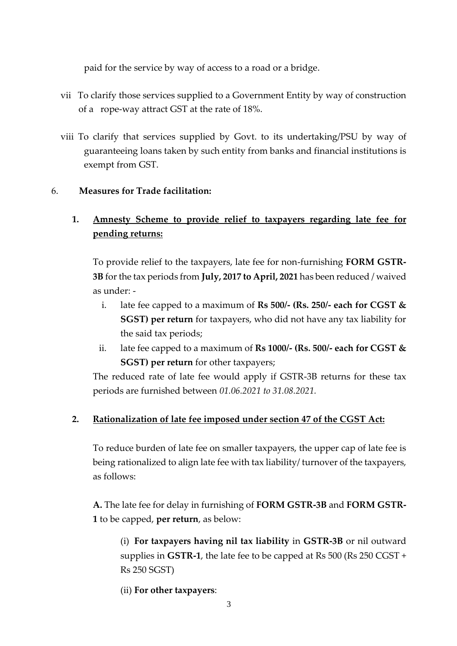paid for the service by way of access to a road or a bridge.

- vii To clarify those services supplied to a Government Entity by way of construction of a rope-way attract GST at the rate of 18%.
- viii To clarify that services supplied by Govt. to its undertaking/PSU by way of guaranteeing loans taken by such entity from banks and financial institutions is exempt from GST.

### 6. **Measures for Trade facilitation:**

# **1. Amnesty Scheme to provide relief to taxpayers regarding late fee for pending returns:**

To provide relief to the taxpayers, late fee for non-furnishing **FORM GSTR-3B** for the tax periods from **July, 2017 to April, 2021** has been reduced / waived as under: -

- i. late fee capped to a maximum of **Rs 500/- (Rs. 250/- each for CGST & SGST) per return** for taxpayers, who did not have any tax liability for the said tax periods;
- ii. late fee capped to a maximum of **Rs 1000/- (Rs. 500/- each for CGST & SGST) per return** for other taxpayers;

The reduced rate of late fee would apply if GSTR-3B returns for these tax periods are furnished between *01.06.2021 to 31.08.2021.*

### **2. Rationalization of late fee imposed under section 47 of the CGST Act:**

To reduce burden of late fee on smaller taxpayers, the upper cap of late fee is being rationalized to align late fee with tax liability/ turnover of the taxpayers, as follows:

**A.** The late fee for delay in furnishing of **FORM GSTR-3B** and **FORM GSTR-1** to be capped, **per return**, as below:

(i) **For taxpayers having nil tax liability** in **GSTR-3B** or nil outward supplies in **GSTR-1**, the late fee to be capped at Rs 500 (Rs 250 CGST + Rs 250 SGST)

(ii) **For other taxpayers**: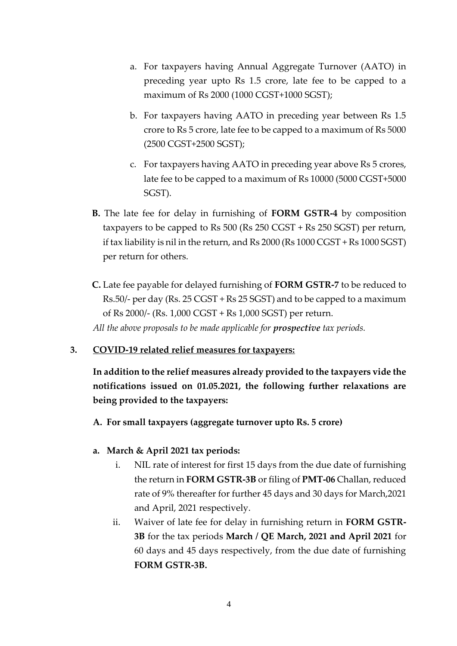- a. For taxpayers having Annual Aggregate Turnover (AATO) in preceding year upto Rs 1.5 crore, late fee to be capped to a maximum of Rs 2000 (1000 CGST+1000 SGST);
- b. For taxpayers having AATO in preceding year between Rs 1.5 crore to Rs 5 crore, late fee to be capped to a maximum of Rs 5000 (2500 CGST+2500 SGST);
- c. For taxpayers having AATO in preceding year above Rs 5 crores, late fee to be capped to a maximum of Rs 10000 (5000 CGST+5000 SGST).
- **B.** The late fee for delay in furnishing of **FORM GSTR-4** by composition taxpayers to be capped to Rs 500 (Rs 250 CGST + Rs 250 SGST) per return, if tax liability is nil in the return, and Rs 2000 (Rs 1000 CGST + Rs 1000 SGST) per return for others.
- **C.** Late fee payable for delayed furnishing of **FORM GSTR-7** to be reduced to Rs.50/- per day (Rs. 25 CGST + Rs 25 SGST) and to be capped to a maximum of Rs 2000/- (Rs. 1,000 CGST + Rs 1,000 SGST) per return. *All the above proposals to be made applicable for prospective tax periods.*

#### **3. COVID-19 related relief measures for taxpayers:**

**In addition to the relief measures already provided to the taxpayers vide the notifications issued on 01.05.2021, the following further relaxations are being provided to the taxpayers:**

**A. For small taxpayers (aggregate turnover upto Rs. 5 crore)**

- **a. March & April 2021 tax periods:**
	- i. NIL rate of interest for first 15 days from the due date of furnishing the return in **FORM GSTR-3B** or filing of **PMT-06** Challan, reduced rate of 9% thereafter for further 45 days and 30 days for March,2021 and April, 2021 respectively.
	- ii. Waiver of late fee for delay in furnishing return in **FORM GSTR-3B** for the tax periods **March / QE March, 2021 and April 2021** for 60 days and 45 days respectively, from the due date of furnishing **FORM GSTR-3B.**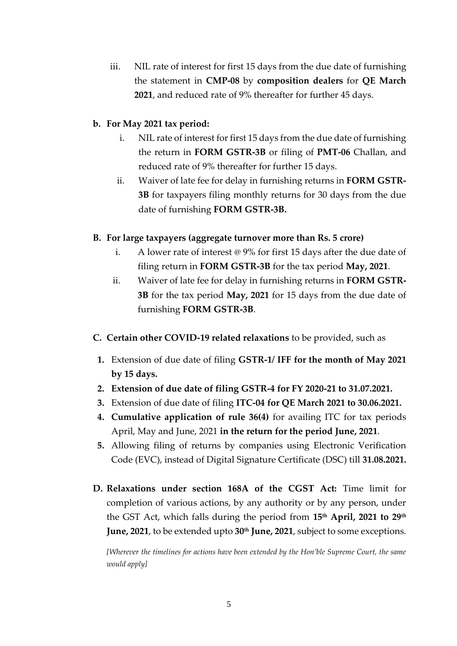iii. NIL rate of interest for first 15 days from the due date of furnishing the statement in **CMP-08** by **composition dealers** for **QE March 2021**, and reduced rate of 9% thereafter for further 45 days.

#### **b. For May 2021 tax period:**

- i. NIL rate of interest for first 15 days from the due date of furnishing the return in **FORM GSTR-3B** or filing of **PMT-06** Challan, and reduced rate of 9% thereafter for further 15 days.
- ii. Waiver of late fee for delay in furnishing returns in **FORM GSTR-3B** for taxpayers filing monthly returns for 30 days from the due date of furnishing **FORM GSTR-3B.**

### **B. For large taxpayers (aggregate turnover more than Rs. 5 crore)**

- i. A lower rate of interest @ 9% for first 15 days after the due date of filing return in **FORM GSTR-3B** for the tax period **May, 2021**.
- ii. Waiver of late fee for delay in furnishing returns in **FORM GSTR-3B** for the tax period **May, 2021** for 15 days from the due date of furnishing **FORM GSTR-3B**.
- **C. Certain other COVID-19 related relaxations** to be provided, such as
	- **1.** Extension of due date of filing **GSTR-1/ IFF for the month of May 2021 by 15 days.**
- **2. Extension of due date of filing GSTR-4 for FY 2020-21 to 31.07.2021.**
- **3.** Extension of due date of filing **ITC-04 for QE March 2021 to 30.06.2021.**
- **4. Cumulative application of rule 36(4)** for availing ITC for tax periods April, May and June, 2021 **in the return for the period June, 2021**.
- **5.** Allowing filing of returns by companies using Electronic Verification Code (EVC), instead of Digital Signature Certificate (DSC) till **31.08.2021.**
- **D. Relaxations under section 168A of the CGST Act:** Time limit for completion of various actions, by any authority or by any person, under the GST Act, which falls during the period from **15th April, 2021 to 29th June, 2021**, to be extended upto **30th June, 2021**, subject to some exceptions.

*[Wherever the timelines for actions have been extended by the Hon'ble Supreme Court, the same would apply]*